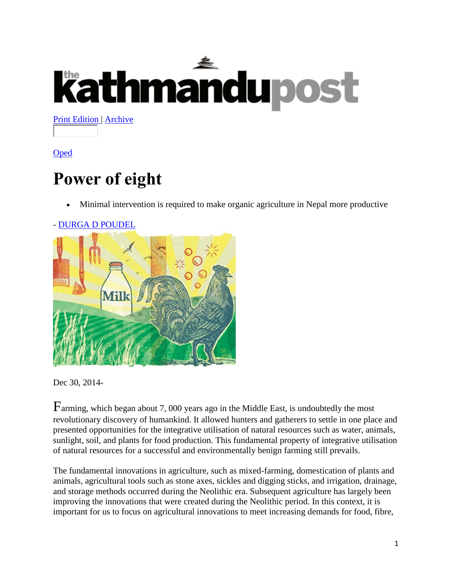# **Kathmandupost**

**[Print Edition |](http://kathmandupost.ekantipur.com/printedition/2016-01-26) [Archive](http://kathmandupost.ekantipur.com/archive)** 

[Oped](http://kathmandupost.ekantipur.com/category/oped)

## **Power of eight**

Minimal intervention is required to make organic agriculture in Nepal more productive



Dec 30, 2014-

Farming, which began about 7, 000 years ago in the Middle East, is undoubtedly the most revolutionary discovery of humankind. It allowed hunters and gatherers to settle in one place and presented opportunities for the integrative utilisation of natural resources such as water, animals, sunlight, soil, and plants for food production. This fundamental property of integrative utilisation of natural resources for a successful and environmentally benign farming still prevails.

The fundamental innovations in agriculture, such as mixed-farming, domestication of plants and animals, agricultural tools such as stone axes, sickles and digging sticks, and irrigation, drainage, and storage methods occurred during the Neolithic era. Subsequent agriculture has largely been improving the innovations that were created during the Neolithic period. In this context, it is important for us to focus on agricultural innovations to meet increasing demands for food, fibre,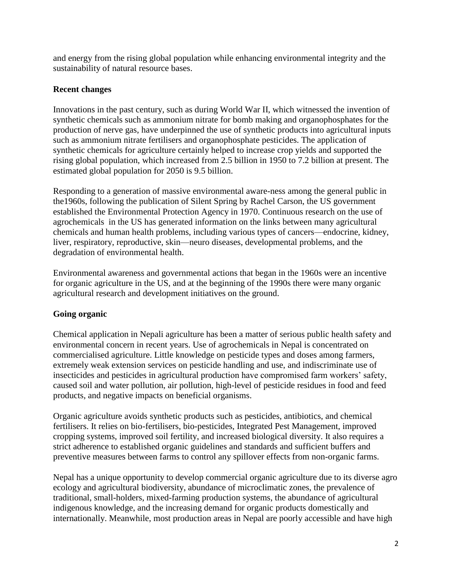and energy from the rising global population while enhancing environmental integrity and the sustainability of natural resource bases.

### **Recent changes**

Innovations in the past century, such as during World War II, which witnessed the invention of synthetic chemicals such as ammonium nitrate for bomb making and organophosphates for the production of nerve gas, have underpinned the use of synthetic products into agricultural inputs such as ammonium nitrate fertilisers and organophosphate pesticides. The application of synthetic chemicals for agriculture certainly helped to increase crop yields and supported the rising global population, which increased from 2.5 billion in 1950 to 7.2 billion at present. The estimated global population for 2050 is 9.5 billion.

Responding to a generation of massive environmental aware-ness among the general public in the1960s, following the publication of Silent Spring by Rachel Carson, the US government established the Environmental Protection Agency in 1970. Continuous research on the use of agrochemicals in the US has generated information on the links between many agricultural chemicals and human health problems, including various types of cancers—endocrine, kidney, liver, respiratory, reproductive, skin—neuro diseases, developmental problems, and the degradation of environmental health.

Environmental awareness and governmental actions that began in the 1960s were an incentive for organic agriculture in the US, and at the beginning of the 1990s there were many organic agricultural research and development initiatives on the ground.

### **Going organic**

Chemical application in Nepali agriculture has been a matter of serious public health safety and environmental concern in recent years. Use of agrochemicals in Nepal is concentrated on commercialised agriculture. Little knowledge on pesticide types and doses among farmers, extremely weak extension services on pesticide handling and use, and indiscriminate use of insecticides and pesticides in agricultural production have compromised farm workers' safety, caused soil and water pollution, air pollution, high-level of pesticide residues in food and feed products, and negative impacts on beneficial organisms.

Organic agriculture avoids synthetic products such as pesticides, antibiotics, and chemical fertilisers. It relies on bio-fertilisers, bio-pesticides, Integrated Pest Management, improved cropping systems, improved soil fertility, and increased biological diversity. It also requires a strict adherence to established organic guidelines and standards and sufficient buffers and preventive measures between farms to control any spillover effects from non-organic farms.

Nepal has a unique opportunity to develop commercial organic agriculture due to its diverse agro ecology and agricultural biodiversity, abundance of microclimatic zones, the prevalence of traditional, small-holders, mixed-farming production systems, the abundance of agricultural indigenous knowledge, and the increasing demand for organic products domestically and internationally. Meanwhile, most production areas in Nepal are poorly accessible and have high